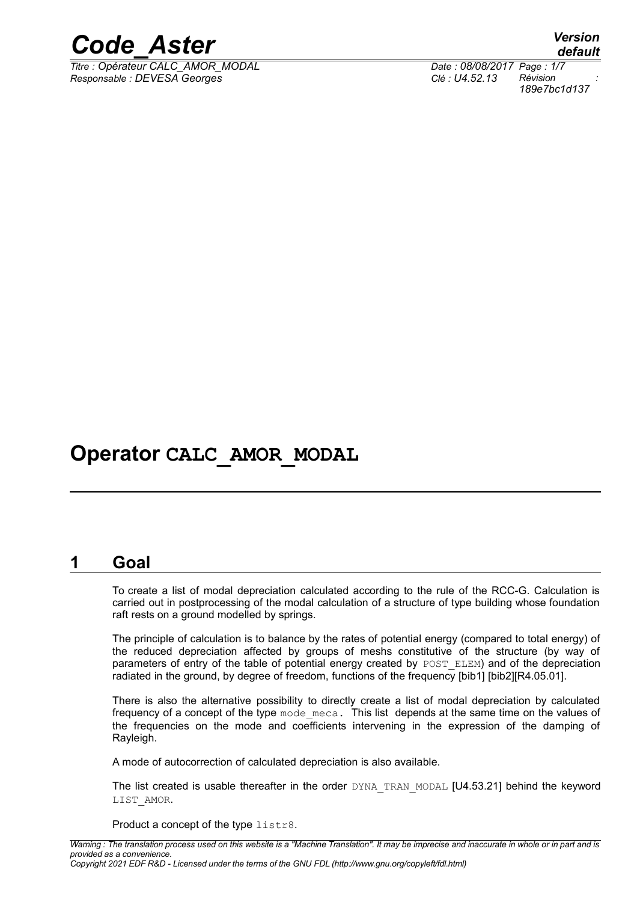

*Titre : Opérateur CALC\_AMOR\_MODAL Date : 08/08/2017 Page : 1/7 Responsable : DEVESA Georges Clé : U4.52.13 Révision :*

*default 189e7bc1d137*

## **Operator CALC\_AMOR\_MODAL**

#### **1 Goal**

To create a list of modal depreciation calculated according to the rule of the RCC-G. Calculation is carried out in postprocessing of the modal calculation of a structure of type building whose foundation raft rests on a ground modelled by springs.

The principle of calculation is to balance by the rates of potential energy (compared to total energy) of the reduced depreciation affected by groups of meshs constitutive of the structure (by way of parameters of entry of the table of potential energy created by POST\_ELEM) and of the depreciation radiated in the ground, by degree of freedom, functions of the frequency [bib1] [bib2][R4.05.01].

There is also the alternative possibility to directly create a list of modal depreciation by calculated frequency of a concept of the type mode meca. This list depends at the same time on the values of the frequencies on the mode and coefficients intervening in the expression of the damping of Rayleigh.

A mode of autocorrection of calculated depreciation is also available.

The list created is usable thereafter in the order DYNA\_TRAN\_MODAL [U4.53.21] behind the keyword LIST\_AMOR.

Product a concept of the type listr8.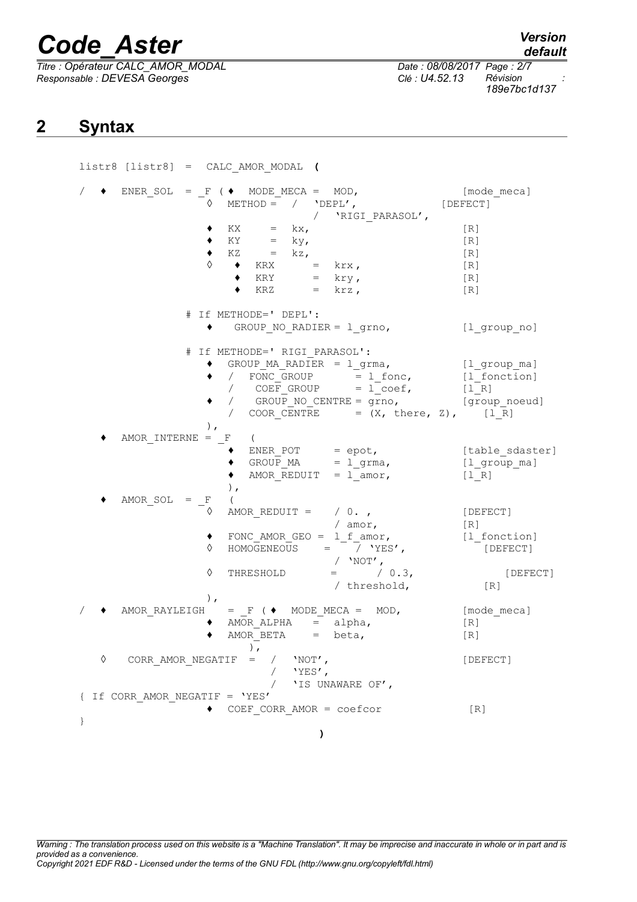*Titre : Opérateur CALC\_AMOR\_MODAL Date : 08/08/2017 Page : 2/7 Responsable : DEVESA Georges Clé : U4.52.13 Révision :*

*189e7bc1d137*

## **2 Syntax**

listr8 [listr8] = CALC\_AMOR\_MODAL **(**  $\bullet$  ENER\_SOL =  $_F$  (  $\bullet$  MODE\_MECA = MOD, [mode meca]  $\circ$  METHOD = / 'DEPL', [DEFECT] / 'RIGI\_PARASOL',  $\bullet$  KX = kx, [R]  $\bullet$  KY = ky, [R]  $\bullet$  KZ = kz, [R] ◊ ◆ KRX = krx,  $[R]$  → KRY = krv,  $[R]$ ◆ KRY = kry,  $[R]$  (R)  $\bullet$  KRZ = krz,  $[R]$ # If METHODE=' DEPL': ♦ GROUP\_NO\_RADIER = l\_grno, [l\_group\_no] # If METHODE=' RIGI\_PARASOL':  $\bullet$  GROUP\_MA\_RADIER =  $l$ \_grma, [l\_group\_ma]<br>  $\bullet$  / FONC\_GROUP =  $l$ \_fonc, [l\_fonction]  $\bullet$  / FONC\_GROUP =  $l$ \_fonc,  $[l$ \_fonction]  $/$  COEF GROUP = l coef,  $[1 R]$  $\bullet$  / GROUP NO CENTRE = grno, [group noeud] / COOR CENTRE =  $(X, \text{ there}, Z),$  [l\_R] ), AMOR\_INTERNE =  $-F$  (<br>  $\bullet$  ENER\_POT ♦ ENER\_POT = epot, [table\_sdaster]  $\bullet$  GROUP MA = lgrma, [lgroup ma]  $\triangleleft$  AMOR\_REDUIT =  $\frac{1}{\text{amor}}$ , [ $\frac{1}{\text{R}}$ ] ),  $AMOR_SOL = \frac{F}{\Diamond}$  ( AMOR REDUIT =  $/ 0.$ , [DEFECT] / amor, [R] ♦ FONC\_AMOR\_GEO = l\_f\_amor, [l\_fonction] ◊ HOMOGENEOUS = / 'YES', [DEFECT]  $/$  'NOT',  $\Diamond$  THRESHOLD = / 0.3, [DEFECT] / threshold, [R] ), AMOR RAYLEIGH =  $F$  (  $\blacklozenge$  MODE MECA = MOD, [mode meca] AMOR ALPHA =  $alpha$ , [R]  $\blacklozenge$  AMOR BETA = beta,  $[R]$ ), ◊ CORR\_AMOR\_NEGATIF = / 'NOT', [DEFECT]  $/$  'YES', / 'IS UNAWARE OF', { If CORR\_AMOR\_NEGATIF = 'YES' ♦ COEF\_CORR\_AMOR = coefcor [R] } **)**

*Warning : The translation process used on this website is a "Machine Translation". It may be imprecise and inaccurate in whole or in part and is provided as a convenience. Copyright 2021 EDF R&D - Licensed under the terms of the GNU FDL (http://www.gnu.org/copyleft/fdl.html)*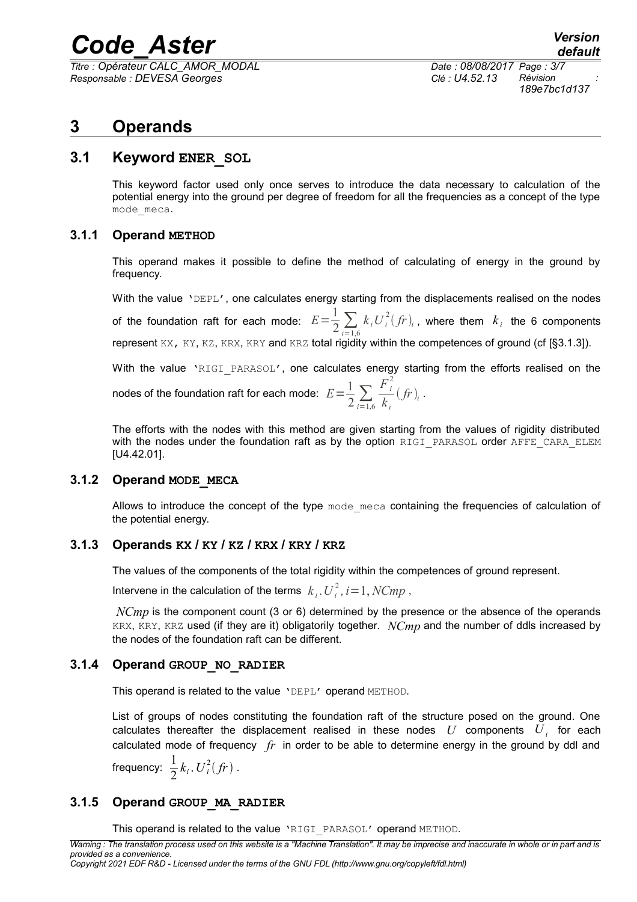*Titre : Opérateur CALC\_AMOR\_MODAL Date : 08/08/2017 Page : 3/7 Responsable : DEVESA Georges Clé : U4.52.13 Révision :*

*189e7bc1d137*

## **3 Operands**

#### **3.1 Keyword ENER\_SOL**

This keyword factor used only once serves to introduce the data necessary to calculation of the potential energy into the ground per degree of freedom for all the frequencies as a concept of the type mode\_meca.

#### **3.1.1 Operand METHOD**

This operand makes it possible to define the method of calculating of energy in the ground by frequency.

With the value 'DEPL', one calculates energy starting from the displacements realised on the nodes of the foundation raft for each mode:  $E\!=\!\frac{1}{2}\sum\limits_{i=1,6}$  $k_i U_i^2 (fr)_i$ , where them  $k_i$  the 6 components represent KX, KY, KZ, KRX, KRY and KRZ total rigidity within the competences of ground (cf [§3.1.3]). With the value 'RIGI PARASOL', one calculates energy starting from the efforts realised on the

nodes of the foundation raft for each mode:  $E\!=\!\frac{1}{2}\sum\limits_{i=1,6}$  $F_i^2$ *k i*  $(fr)_i$ .

The efforts with the nodes with this method are given starting from the values of rigidity distributed with the nodes under the foundation raft as by the option RIGI\_PARASOL order AFFE\_CARA\_ELEM [U4.42.01].

#### **3.1.2 Operand MODE\_MECA**

Allows to introduce the concept of the type mode meca containing the frequencies of calculation of the potential energy.

#### **3.1.3 Operands KX / KY / KZ / KRX / KRY / KRZ**

The values of the components of the total rigidity within the competences of ground represent.

Intervene in the calculation of the terms  $k_i$  .  $U_i^2$  ,  $i$  = 1,  $NCmp$  ,

*NCmp* is the component count (3 or 6) determined by the presence or the absence of the operands KRX, KRY, KRZ used (if they are it) obligatorily together. *NCmp* and the number of ddls increased by the nodes of the foundation raft can be different.

#### **3.1.4 Operand GROUP\_NO\_RADIER**

This operand is related to the value 'DEPL' operand METHOD.

List of groups of nodes constituting the foundation raft of the structure posed on the ground. One calculates thereafter the displacement realised in these nodes  $|U|$  components  $|U_{\hat{i}}|$  for each calculated mode of frequency *fr* in order to be able to determine energy in the ground by ddl and

frequency:  $\frac{1}{2}$  $\frac{1}{2}k_i$ .  $U_i^2(fr)$ .

#### **3.1.5 Operand GROUP\_MA\_RADIER**

This operand is related to the value 'RIGI\_PARASOL' operand METHOD.

*Warning : The translation process used on this website is a "Machine Translation". It may be imprecise and inaccurate in whole or in part and is provided as a convenience.*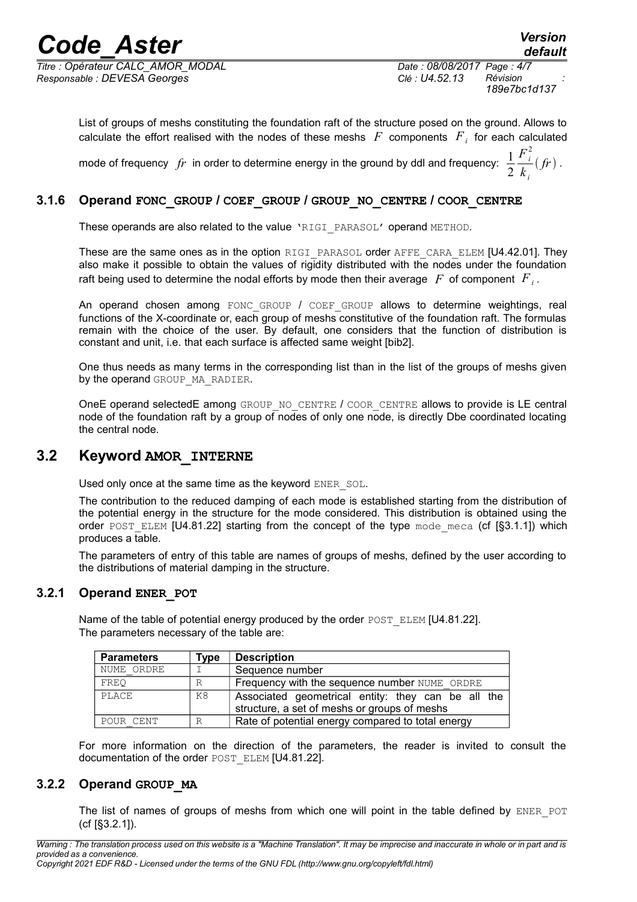*Titre : Opérateur CALC\_AMOR\_MODAL Date : 08/08/2017 Page : 4/7 Responsable : DEVESA Georges Clé : U4.52.13 Révision :*

*189e7bc1d137*

List of groups of meshs constituting the foundation raft of the structure posed on the ground. Allows to calculate the effort realised with the nodes of these meshs  $|F|$  components  $|F|_i$  for each calculated mode of frequency  $fr$  in order to determine energy in the ground by ddl and frequency:  $\frac{1}{2}$ 2  $F_i^2$ *k i*  $(fr)$ .

#### **3.1.6 Operand FONC\_GROUP / COEF\_GROUP / GROUP\_NO\_CENTRE / COOR\_CENTRE**

These operands are also related to the value 'RIGI\_PARASOL' operand METHOD.

These are the same ones as in the option RIGI\_PARASOL order AFFE\_CARA\_ELEM [U4.42.01]. They also make it possible to obtain the values of rigidity distributed with the nodes under the foundation raft being used to determine the nodal efforts by mode then their average  $|F|$  of component  $|F|_i$ .

An operand chosen among FONC GROUP  $\prime$  COEF GROUP allows to determine weightings, real functions of the X-coordinate or, each group of meshs constitutive of the foundation raft. The formulas remain with the choice of the user. By default, one considers that the function of distribution is constant and unit, i.e. that each surface is affected same weight [bib2].

One thus needs as many terms in the corresponding list than in the list of the groups of meshs given by the operand GROUP MA\_RADIER.

OneE operand selectedE among GROUP\_NO\_CENTRE / COOR\_CENTRE allows to provide is LE central node of the foundation raft by a group of nodes of only one node, is directly Dbe coordinated locating the central node.

#### **3.2 Keyword AMOR\_INTERNE**

Used only once at the same time as the keyword ENER SOL.

The contribution to the reduced damping of each mode is established starting from the distribution of the potential energy in the structure for the mode considered. This distribution is obtained using the order POST\_ELEM  $[U4.81.22]$  starting from the concept of the type mode meca (cf  $[§3.1.1]$ ) which produces a table.

The parameters of entry of this table are names of groups of meshs, defined by the user according to the distributions of material damping in the structure.

#### **3.2.1 Operand ENER\_POT**

Name of the table of potential energy produced by the order  $POST$  ELEM [U4.81.22]. The parameters necessary of the table are:

| <b>Parameters</b> | Type         | <b>Description</b>                                                                                 |
|-------------------|--------------|----------------------------------------------------------------------------------------------------|
| NUME ORDRE        |              | Sequence number                                                                                    |
| FREO              | R            | Frequency with the sequence number NUME ORDRE                                                      |
| PLACE             | K8           | Associated geometrical entity: they can be all the<br>structure, a set of meshs or groups of meshs |
| POUR CENT         | $\mathbb{R}$ | Rate of potential energy compared to total energy                                                  |

For more information on the direction of the parameters, the reader is invited to consult the documentation of the order POST\_ELEM [U4.81.22].

#### **3.2.2 Operand GROUP\_MA**

The list of names of groups of meshs from which one will point in the table defined by ENER POT (cf [§3.2.1]).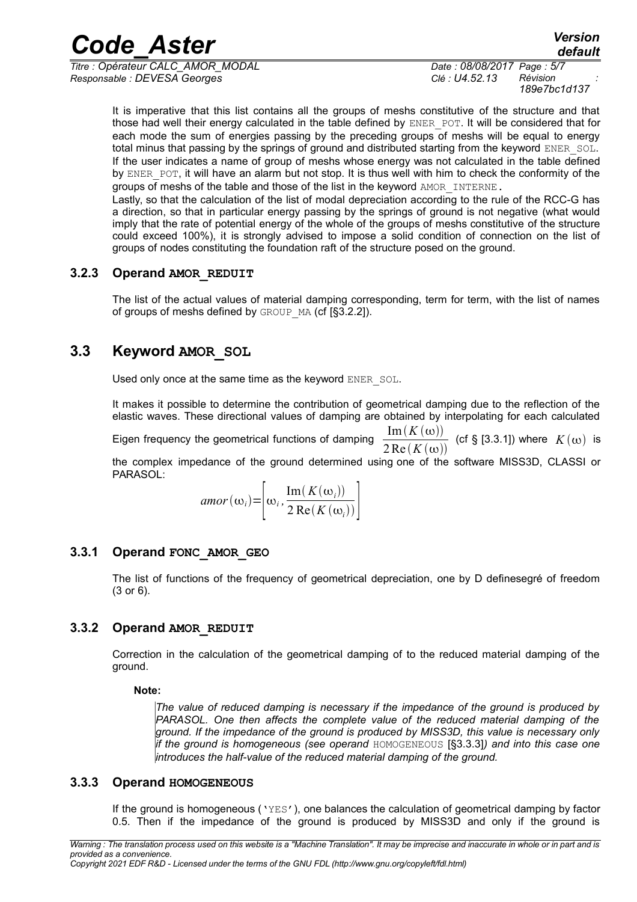*Titre : Opérateur CALC\_AMOR\_MODAL Date : 08/08/2017 Page : 5/7 Responsable : DEVESA Georges Clé : U4.52.13 Révision :*

*189e7bc1d137*

*default*

It is imperative that this list contains all the groups of meshs constitutive of the structure and that those had well their energy calculated in the table defined by ENER\_POT. It will be considered that for each mode the sum of energies passing by the preceding groups of meshs will be equal to energy total minus that passing by the springs of ground and distributed starting from the keyword ENER SOL. If the user indicates a name of group of meshs whose energy was not calculated in the table defined by ENER POT, it will have an alarm but not stop. It is thus well with him to check the conformity of the groups of meshs of the table and those of the list in the keyword AMOR\_INTERNE.

Lastly, so that the calculation of the list of modal depreciation according to the rule of the RCC-G has a direction, so that in particular energy passing by the springs of ground is not negative (what would imply that the rate of potential energy of the whole of the groups of meshs constitutive of the structure could exceed 100%), it is strongly advised to impose a solid condition of connection on the list of groups of nodes constituting the foundation raft of the structure posed on the ground.

#### **3.2.3 Operand AMOR\_REDUIT**

The list of the actual values of material damping corresponding, term for term, with the list of names of groups of meshs defined by  $GROUP$  MA (cf  $[§3.2.2]$ ).

### **3.3 Keyword AMOR\_SOL**

Used only once at the same time as the keyword ENER SOL.

It makes it possible to determine the contribution of geometrical damping due to the reflection of the elastic waves. These directional values of damping are obtained by interpolating for each calculated

Eigen frequency the geometrical functions of damping  $2 \text{Re}(K(\omega))$ (cf § [3.3.1]) where  $K(\omega)$  is

the complex impedance of the ground determined using one of the software MISS3D, CLASSI or PARASOL:

$$
amor(\omega_i) = \left[\omega_i, \frac{\text{Im}(K(\omega_i))}{2 \text{ Re}(K(\omega_i))}\right]
$$

#### **3.3.1 Operand FONC\_AMOR\_GEO**

The list of functions of the frequency of geometrical depreciation, one by D definesegré of freedom (3 or 6).

#### **3.3.2 Operand AMOR\_REDUIT**

Correction in the calculation of the geometrical damping of to the reduced material damping of the ground.

#### **Note:**

*The value of reduced damping is necessary if the impedance of the ground is produced by PARASOL. One then affects the complete value of the reduced material damping of the ground. If the impedance of the ground is produced by MISS3D, this value is necessary only if the ground is homogeneous (see operand* HOMOGENEOUS [§3.3.3]*) and into this case one introduces the half-value of the reduced material damping of the ground.*

#### **3.3.3 Operand HOMOGENEOUS**

If the ground is homogeneous ('YES'), one balances the calculation of geometrical damping by factor 0.5. Then if the impedance of the ground is produced by MISS3D and only if the ground is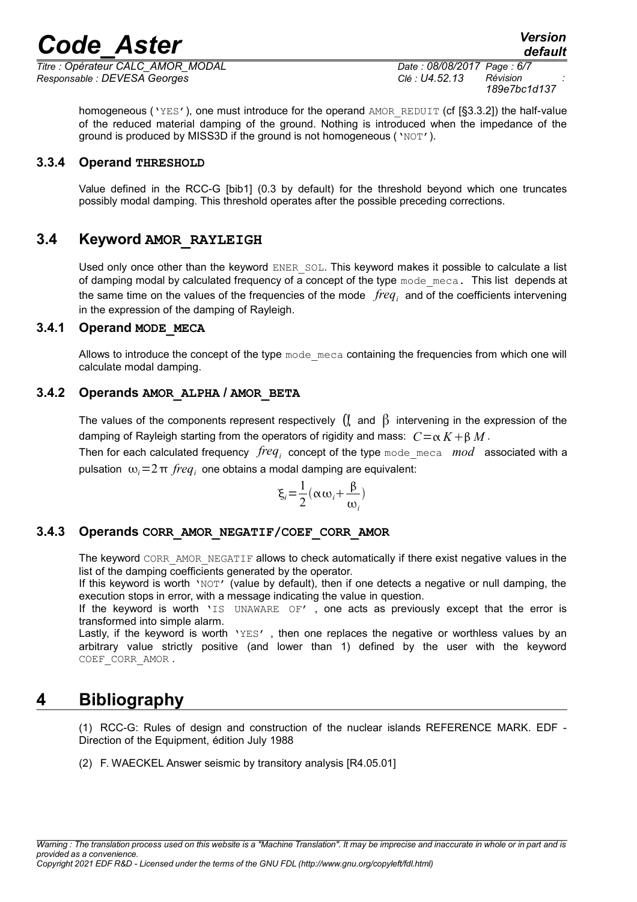*Titre : Opérateur CALC\_AMOR\_MODAL Date : 08/08/2017 Page : 6/7 Responsable : DEVESA Georges Clé : U4.52.13 Révision :*

*189e7bc1d137*

homogeneous ('YES'), one must introduce for the operand AMOR\_REDUIT (cf [§3.3.2]) the half-value of the reduced material damping of the ground. Nothing is introduced when the impedance of the ground is produced by MISS3D if the ground is not homogeneous ('NOT').

#### **3.3.4 Operand THRESHOLD**

Value defined in the RCC-G [bib1] (0.3 by default) for the threshold beyond which one truncates possibly modal damping. This threshold operates after the possible preceding corrections.

#### **3.4 Keyword AMOR\_RAYLEIGH**

Used only once other than the keyword  $ENER$  SOL. This keyword makes it possible to calculate a list of damping modal by calculated frequency of a concept of the type mode meca. This list depends at the same time on the values of the frequencies of the mode *freq<sup>i</sup>* and of the coefficients intervening in the expression of the damping of Rayleigh.

#### **3.4.1 Operand MODE\_MECA**

Allows to introduce the concept of the type mode meca containing the frequencies from which one will calculate modal damping.

#### **3.4.2 Operands AMOR\_ALPHA / AMOR\_BETA**

The values of the components represent respectively  $\int_{\mathbb{R}}$  and  $\beta$  intervening in the expression of the damping of Rayleigh starting from the operators of rigidity and mass:  $C = \alpha K + \beta M$ .

Then for each calculated frequency  $\, freq_i \,$  concept of the type  $\,$ mode\_me $\,$ ca  $\,$   $\,mod \,$  associated with a pulsation  $ω<sub>i</sub> = 2 π *freq<sub>i</sub>*$  one obtains a modal damping are equivalent:

$$
\xi_i = \frac{1}{2}(\alpha \omega_i + \frac{\beta}{\omega_i})
$$

#### **3.4.3 Operands CORR\_AMOR\_NEGATIF/COEF\_CORR\_AMOR**

The keyword CORR\_AMOR\_NEGATIF allows to check automatically if there exist negative values in the list of the damping coefficients generated by the operator.

If this keyword is worth 'NOT' (value by default), then if one detects a negative or null damping, the execution stops in error, with a message indicating the value in question.

If the keyword is worth 'IS UNAWARE OF', one acts as previously except that the error is transformed into simple alarm.

Lastly, if the keyword is worth  $YES'$ , then one replaces the negative or worthless values by an arbitrary value strictly positive (and lower than 1) defined by the user with the keyword COEF\_CORR\_AMOR .

## **4 Bibliography**

(1) RCC-G: Rules of design and construction of the nuclear islands REFERENCE MARK. EDF - Direction of the Equipment, édition July 1988

(2) F. WAECKEL Answer seismic by transitory analysis [R4.05.01]